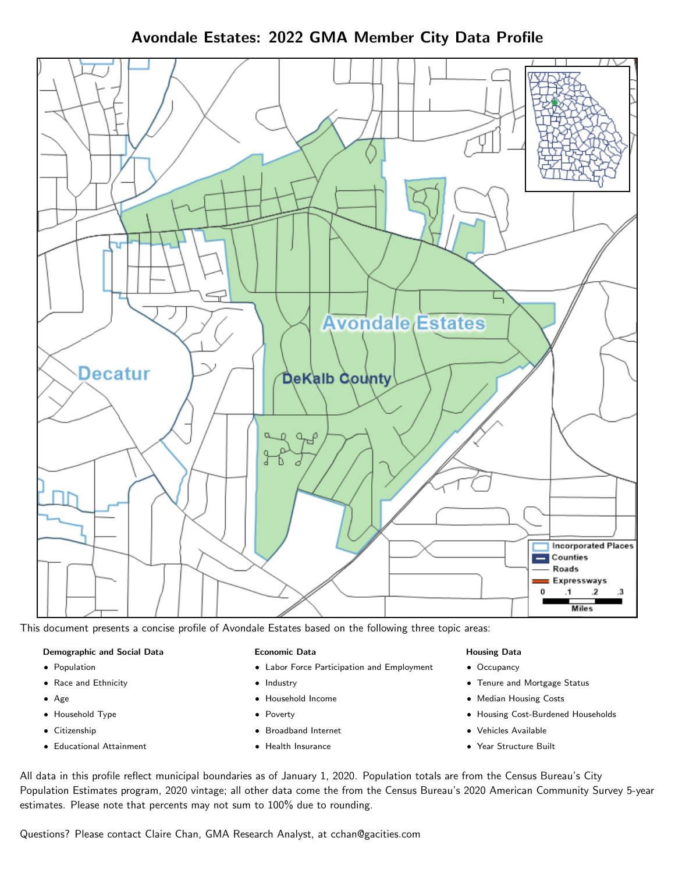Avondale Estates: 2022 GMA Member City Data Profile



This document presents a concise profile of Avondale Estates based on the following three topic areas:

#### Demographic and Social Data

- **•** Population
- Race and Ethnicity
- Age
- Household Type
- **Citizenship**
- Educational Attainment

#### Economic Data

- Labor Force Participation and Employment
- Industry
- Household Income
- Poverty
- Broadband Internet
- Health Insurance

#### Housing Data

- Occupancy
- Tenure and Mortgage Status
- Median Housing Costs
- Housing Cost-Burdened Households
- Vehicles Available
- Year Structure Built

All data in this profile reflect municipal boundaries as of January 1, 2020. Population totals are from the Census Bureau's City Population Estimates program, 2020 vintage; all other data come the from the Census Bureau's 2020 American Community Survey 5-year estimates. Please note that percents may not sum to 100% due to rounding.

Questions? Please contact Claire Chan, GMA Research Analyst, at [cchan@gacities.com.](mailto:cchan@gacities.com)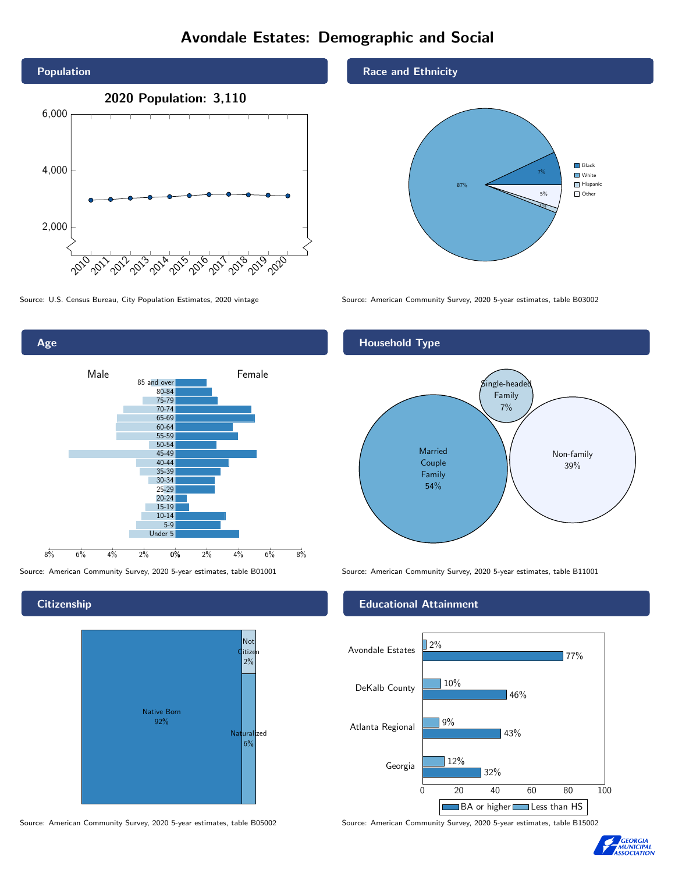## Avondale Estates: Demographic and Social



Age 0% 2% 4% 6% 8% Male <u>Communicular Female</u> 8% 6% 4% 2% 85 and over 80-84 75-79 70-74 65-69 60-64 55-59 50-54 45-49 40-44 35-39 30-34 25-29 20-24 15-19  $10-14$ 5-9 Under 5

**Citizenship** 



#### Source: American Community Survey, 2020 5-year estimates, table B05002 Source: American Community Survey, 2020 5-year estimates, table B15002

Race and Ethnicity



Source: U.S. Census Bureau, City Population Estimates, 2020 vintage Source: American Community Survey, 2020 5-year estimates, table B03002



Source: American Community Survey, 2020 5-year estimates, table B01001 Source: American Community Survey, 2020 5-year estimates, table B11001

#### Educational Attainment



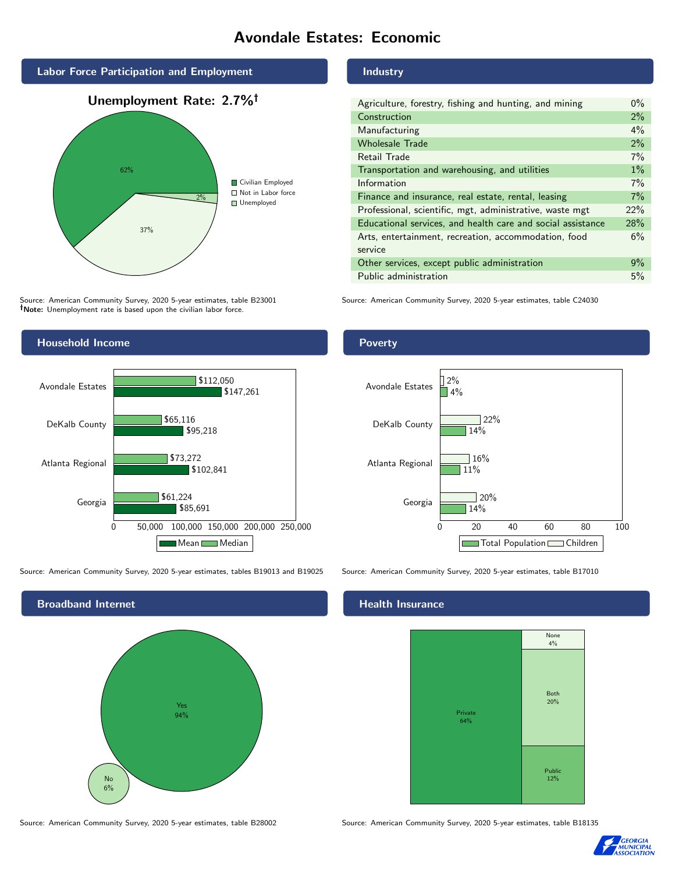## Avondale Estates: Economic



Source: American Community Survey, 2020 5-year estimates, table B23001 Note: Unemployment rate is based upon the civilian labor force.



Source: American Community Survey, 2020 5-year estimates, tables B19013 and B19025 Source: American Community Survey, 2020 5-year estimates, table B17010



#### Industry

| Agriculture, forestry, fishing and hunting, and mining      | $0\%$ |
|-------------------------------------------------------------|-------|
| Construction                                                | 2%    |
| Manufacturing                                               | 4%    |
| <b>Wholesale Trade</b>                                      | 2%    |
| Retail Trade                                                | 7%    |
| Transportation and warehousing, and utilities               | $1\%$ |
| Information                                                 | 7%    |
| Finance and insurance, real estate, rental, leasing         | 7%    |
| Professional, scientific, mgt, administrative, waste mgt    | 22%   |
| Educational services, and health care and social assistance | 28%   |
| Arts, entertainment, recreation, accommodation, food        | 6%    |
| service                                                     |       |
| Other services, except public administration                | $9\%$ |
| Public administration                                       | 5%    |

Source: American Community Survey, 2020 5-year estimates, table C24030

#### Poverty



#### Health Insurance



Source: American Community Survey, 2020 5-year estimates, table B28002 Source: American Community Survey, 2020 5-year estimates, table B18135